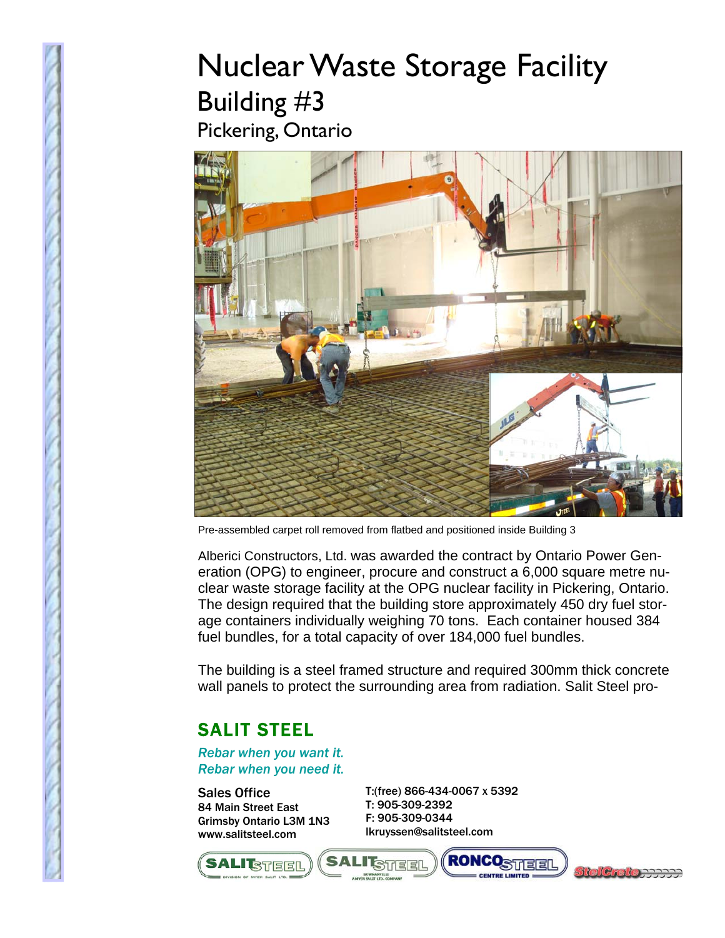## Nuclear Waste Storage Facility Building #3 Pickering, Ontario



Pre-assembled carpet roll removed from flatbed and positioned inside Building 3

Alberici Constructors, Ltd. was awarded the contract by Ontario Power Generation (OPG) to engineer, procure and construct a 6,000 square metre nuclear waste storage facility at the OPG nuclear facility in Pickering, Ontario. The design required that the building store approximately 450 dry fuel storage containers individually weighing 70 tons. Each container housed 384 fuel bundles, for a total capacity of over 184,000 fuel bundles.

The building is a steel framed structure and required 300mm thick concrete wall panels to protect the surrounding area from radiation. Salit Steel pro-

## SALIT STEEL

*Rebar when you want it. Rebar when you need it.* 

Sales Office 84 Main Street East Grimsby Ontario L3M 1N3 www.salitsteel.com

T:(free) 866-434-0067 x 5392 T: 905-309-2392 F: 905-309-0344 lkruyssen@salitsteel.com



**RONCOSTTERE I STEEL**